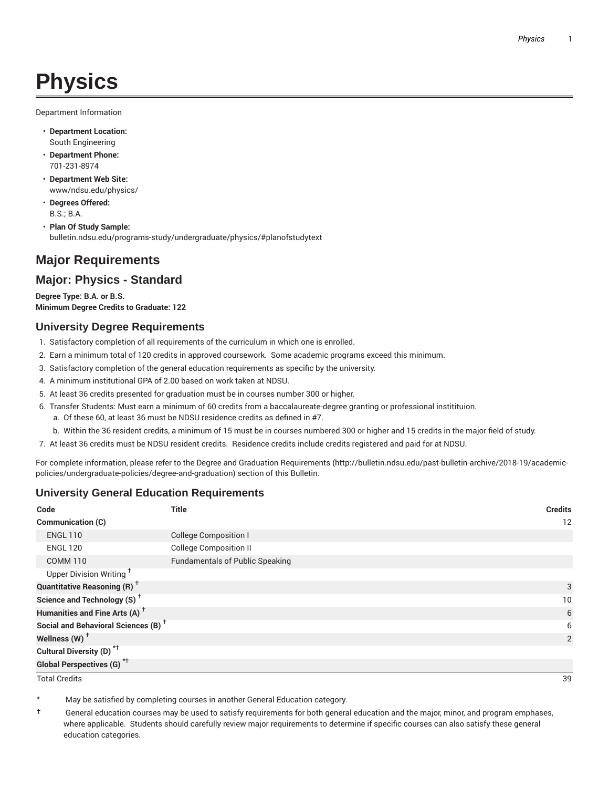# **Physics**

Department Information

- **Department Location:** South Engineering
- **Department Phone:** 701-231-8974
- **Department Web Site:** www/ndsu.edu/physics/
- **Degrees Offered:** B.S.; B.A.
- **Plan Of Study Sample:** bulletin.ndsu.edu/programs-study/undergraduate/physics/#planofstudytext

## **Major Requirements**

## **Major: Physics - Standard**

**Degree Type: B.A. or B.S. Minimum Degree Credits to Graduate: 122**

#### **University Degree Requirements**

- 1. Satisfactory completion of all requirements of the curriculum in which one is enrolled.
- 2. Earn a minimum total of 120 credits in approved coursework. Some academic programs exceed this minimum.
- 3. Satisfactory completion of the general education requirements as specific by the university.
- 4. A minimum institutional GPA of 2.00 based on work taken at NDSU.
- 5. At least 36 credits presented for graduation must be in courses number 300 or higher.
- 6. Transfer Students: Must earn a minimum of 60 credits from a baccalaureate-degree granting or professional institituion.
	- a. Of these 60, at least 36 must be NDSU residence credits as defined in #7.
	- b. Within the 36 resident credits, a minimum of 15 must be in courses numbered 300 or higher and 15 credits in the major field of study.
- 7. At least 36 credits must be NDSU resident credits. Residence credits include credits registered and paid for at NDSU.

For complete information, please refer to the Degree and Graduation Requirements (http://bulletin.ndsu.edu/past-bulletin-archive/2018-19/academicpolicies/undergraduate-policies/degree-and-graduation) section of this Bulletin.

#### **University General Education Requirements**

| Code                                            | <b>Title</b>                           | <b>Credits</b> |  |
|-------------------------------------------------|----------------------------------------|----------------|--|
| Communication (C)                               |                                        | 12             |  |
| <b>ENGL 110</b>                                 | <b>College Composition I</b>           |                |  |
| <b>ENGL 120</b>                                 | <b>College Composition II</b>          |                |  |
| <b>COMM 110</b>                                 | <b>Fundamentals of Public Speaking</b> |                |  |
| Upper Division Writing <sup>†</sup>             |                                        |                |  |
| <b>Quantitative Reasoning (R)</b> <sup>†</sup>  |                                        | 3              |  |
| Science and Technology (S) <sup>+</sup>         |                                        | 10             |  |
| Humanities and Fine Arts (A) <sup>+</sup>       |                                        | 6              |  |
| Social and Behavioral Sciences (B) <sup>+</sup> |                                        | 6              |  |
| Wellness $(W)$ <sup>†</sup>                     |                                        | 2              |  |
| Cultural Diversity (D) <sup>*†</sup>            |                                        |                |  |
| <b>Global Perspectives (G)<sup>*†</sup></b>     |                                        |                |  |

Total Credits 39

May be satisfied by completing courses in another General Education category.

† General education courses may be used to satisfy requirements for both general education and the major, minor, and program emphases, where applicable. Students should carefully review major requirements to determine if specific courses can also satisfy these general education categories.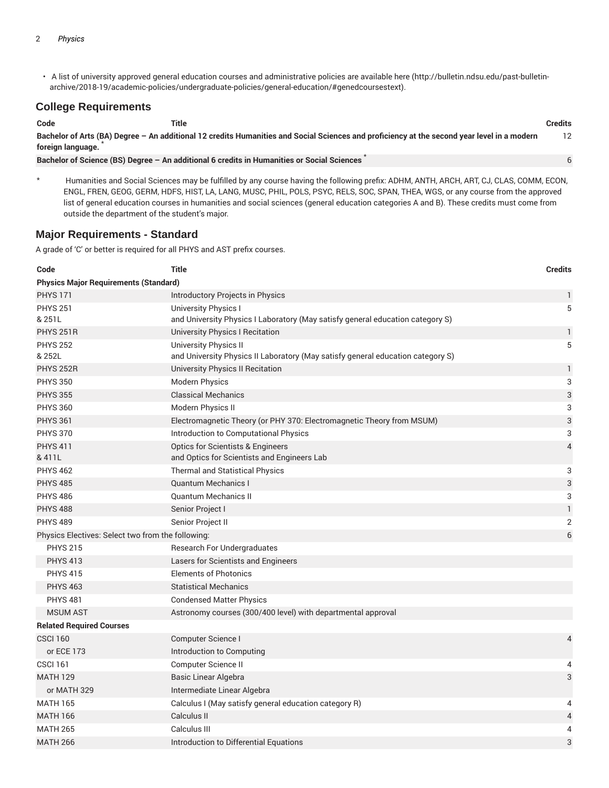• A list of university approved general education courses and administrative policies are available here (http://bulletin.ndsu.edu/past-bulletinarchive/2018-19/academic-policies/undergraduate-policies/general-education/#genedcoursestext).

#### **College Requirements**

| Code              | Title                                                                                                                                       | Credits |
|-------------------|---------------------------------------------------------------------------------------------------------------------------------------------|---------|
| foreign language. | Bachelor of Arts (BA) Degree - An additional 12 credits Humanities and Social Sciences and proficiency at the second year level in a modern |         |
|                   | Bachelor of Science (BS) Degree - An additional 6 credits in Humanities or Social Sciences                                                  |         |

Humanities and Social Sciences may be fulfilled by any course having the following prefix: ADHM, ANTH, ARCH, ART, CJ, CLAS, COMM, ECON, ENGL, FREN, GEOG, GERM, HDFS, HIST, LA, LANG, MUSC, PHIL, POLS, PSYC, RELS, SOC, SPAN, THEA, WGS, or any course from the approved list of general education courses in humanities and social sciences (general education categories A and B). These credits must come from outside the department of the student's major.

#### **Major Requirements - Standard**

A grade of 'C' or better is required for all PHYS and AST prefix courses.

| Code                                              | <b>Title</b>                                                                                             | <b>Credits</b> |  |
|---------------------------------------------------|----------------------------------------------------------------------------------------------------------|----------------|--|
| <b>Physics Major Requirements (Standard)</b>      |                                                                                                          |                |  |
| <b>PHYS 171</b>                                   | Introductory Projects in Physics                                                                         | $\mathbf{1}$   |  |
| <b>PHYS 251</b>                                   | <b>University Physics I</b>                                                                              | 5              |  |
| & 251L                                            | and University Physics I Laboratory (May satisfy general education category S)                           |                |  |
| <b>PHYS 251R</b>                                  | University Physics I Recitation                                                                          | $\mathbf{1}$   |  |
| <b>PHYS 252</b><br>& 252L                         | University Physics II<br>and University Physics II Laboratory (May satisfy general education category S) | 5              |  |
| <b>PHYS 252R</b>                                  | <b>University Physics II Recitation</b>                                                                  | $\mathbf{1}$   |  |
| <b>PHYS 350</b>                                   | <b>Modern Physics</b>                                                                                    | 3              |  |
| <b>PHYS 355</b>                                   | <b>Classical Mechanics</b>                                                                               | 3              |  |
| <b>PHYS 360</b>                                   | Modern Physics II                                                                                        | 3              |  |
| <b>PHYS 361</b>                                   | Electromagnetic Theory (or PHY 370: Electromagnetic Theory from MSUM)                                    | 3              |  |
| <b>PHYS 370</b>                                   | Introduction to Computational Physics                                                                    | 3              |  |
| <b>PHYS 411</b>                                   | <b>Optics for Scientists &amp; Engineers</b>                                                             | $\overline{4}$ |  |
| & 411L                                            | and Optics for Scientists and Engineers Lab                                                              |                |  |
| <b>PHYS 462</b>                                   | <b>Thermal and Statistical Physics</b>                                                                   | 3              |  |
| <b>PHYS 485</b>                                   | <b>Quantum Mechanics I</b>                                                                               | 3              |  |
| <b>PHYS 486</b>                                   | <b>Quantum Mechanics II</b>                                                                              | 3              |  |
| <b>PHYS 488</b>                                   | Senior Project I                                                                                         | $\mathbf{1}$   |  |
| <b>PHYS 489</b>                                   | Senior Project II                                                                                        | $\overline{2}$ |  |
| Physics Electives: Select two from the following: |                                                                                                          | 6              |  |
| <b>PHYS 215</b>                                   | Research For Undergraduates                                                                              |                |  |
| <b>PHYS 413</b>                                   | Lasers for Scientists and Engineers                                                                      |                |  |
| <b>PHYS 415</b>                                   | <b>Elements of Photonics</b>                                                                             |                |  |
| <b>PHYS 463</b>                                   | <b>Statistical Mechanics</b>                                                                             |                |  |
| <b>PHYS 481</b>                                   | <b>Condensed Matter Physics</b>                                                                          |                |  |
| <b>MSUM AST</b>                                   | Astronomy courses (300/400 level) with departmental approval                                             |                |  |
| <b>Related Required Courses</b>                   |                                                                                                          |                |  |
| <b>CSCI 160</b>                                   | Computer Science I                                                                                       | 4              |  |
| or ECE 173                                        | Introduction to Computing                                                                                |                |  |
| <b>CSCI 161</b>                                   | Computer Science II                                                                                      | 4              |  |
| <b>MATH 129</b>                                   | <b>Basic Linear Algebra</b>                                                                              | 3              |  |
| or MATH 329                                       | Intermediate Linear Algebra                                                                              |                |  |
| <b>MATH 165</b>                                   | Calculus I (May satisfy general education category R)                                                    | 4              |  |
| <b>MATH 166</b>                                   | Calculus II                                                                                              | $\overline{4}$ |  |
| <b>MATH 265</b>                                   | Calculus III                                                                                             | $\overline{4}$ |  |
| <b>MATH 266</b>                                   | Introduction to Differential Equations                                                                   | 3              |  |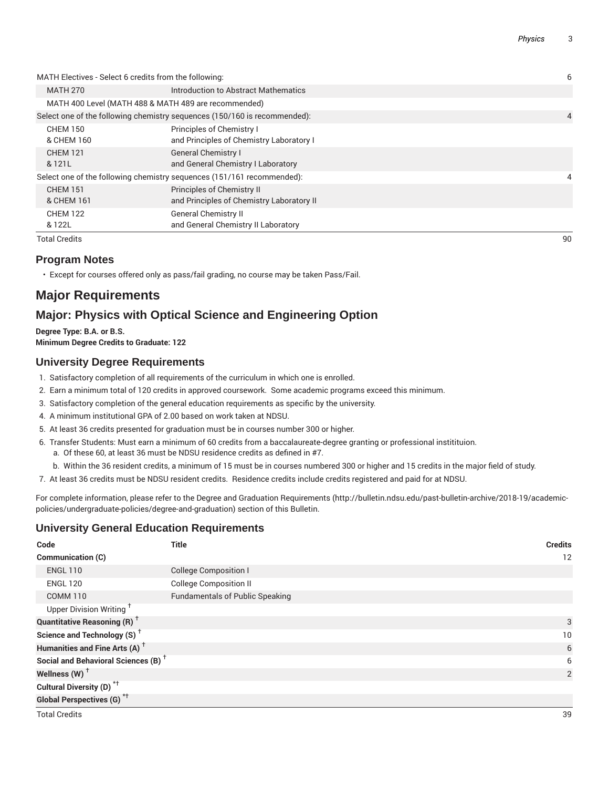|                                                                        | MATH Electives - Select 6 credits from the following: |                                                                           | 6 |
|------------------------------------------------------------------------|-------------------------------------------------------|---------------------------------------------------------------------------|---|
|                                                                        | <b>MATH 270</b>                                       | Introduction to Abstract Mathematics                                      |   |
|                                                                        | MATH 400 Level (MATH 488 & MATH 489 are recommended)  |                                                                           |   |
|                                                                        |                                                       | Select one of the following chemistry sequences (150/160 is recommended): | 4 |
|                                                                        | <b>CHEM 150</b><br>& CHEM 160                         | Principles of Chemistry I<br>and Principles of Chemistry Laboratory I     |   |
|                                                                        | <b>CHEM 121</b><br>& 121L                             | <b>General Chemistry I</b><br>and General Chemistry I Laboratory          |   |
| Select one of the following chemistry sequences (151/161 recommended): |                                                       |                                                                           | 4 |
|                                                                        | <b>CHEM 151</b><br>& CHEM 161                         | Principles of Chemistry II<br>and Principles of Chemistry Laboratory II   |   |
|                                                                        | <b>CHEM 122</b><br>& 122L                             | <b>General Chemistry II</b><br>and General Chemistry II Laboratory        |   |

Total Credits 90

#### **Program Notes**

• Except for courses offered only as pass/fail grading, no course may be taken Pass/Fail.

# **Major Requirements**

# **Major: Physics with Optical Science and Engineering Option**

**Degree Type: B.A. or B.S. Minimum Degree Credits to Graduate: 122**

## **University Degree Requirements**

- 1. Satisfactory completion of all requirements of the curriculum in which one is enrolled.
- 2. Earn a minimum total of 120 credits in approved coursework. Some academic programs exceed this minimum.
- 3. Satisfactory completion of the general education requirements as specific by the university.
- 4. A minimum institutional GPA of 2.00 based on work taken at NDSU.
- 5. At least 36 credits presented for graduation must be in courses number 300 or higher.
- 6. Transfer Students: Must earn a minimum of 60 credits from a baccalaureate-degree granting or professional institituion.
	- a. Of these 60, at least 36 must be NDSU residence credits as defined in #7.
	- b. Within the 36 resident credits, a minimum of 15 must be in courses numbered 300 or higher and 15 credits in the major field of study.
- 7. At least 36 credits must be NDSU resident credits. Residence credits include credits registered and paid for at NDSU.

For complete information, please refer to the Degree and Graduation Requirements (http://bulletin.ndsu.edu/past-bulletin-archive/2018-19/academicpolicies/undergraduate-policies/degree-and-graduation) section of this Bulletin.

## **University General Education Requirements**

| Code                                            | <b>Title</b>                           | <b>Credits</b> |
|-------------------------------------------------|----------------------------------------|----------------|
| <b>Communication (C)</b>                        |                                        | 12             |
| <b>ENGL 110</b>                                 | <b>College Composition I</b>           |                |
| <b>ENGL 120</b>                                 | <b>College Composition II</b>          |                |
| COMM <sub>110</sub>                             | <b>Fundamentals of Public Speaking</b> |                |
| Upper Division Writing <sup>+</sup>             |                                        |                |
| <b>Quantitative Reasoning (R)</b> <sup>†</sup>  |                                        | 3              |
| Science and Technology (S) <sup>+</sup>         |                                        | 10             |
| Humanities and Fine Arts (A) <sup>+</sup>       |                                        | 6              |
| Social and Behavioral Sciences (B) <sup>+</sup> |                                        | 6              |
| Wellness (W) $^{\dagger}$                       |                                        | $\overline{2}$ |
| Cultural Diversity (D) <sup>*†</sup>            |                                        |                |
| <b>Global Perspectives (G)<sup>*†</sup></b>     |                                        |                |
| <b>Total Credits</b>                            |                                        | 39             |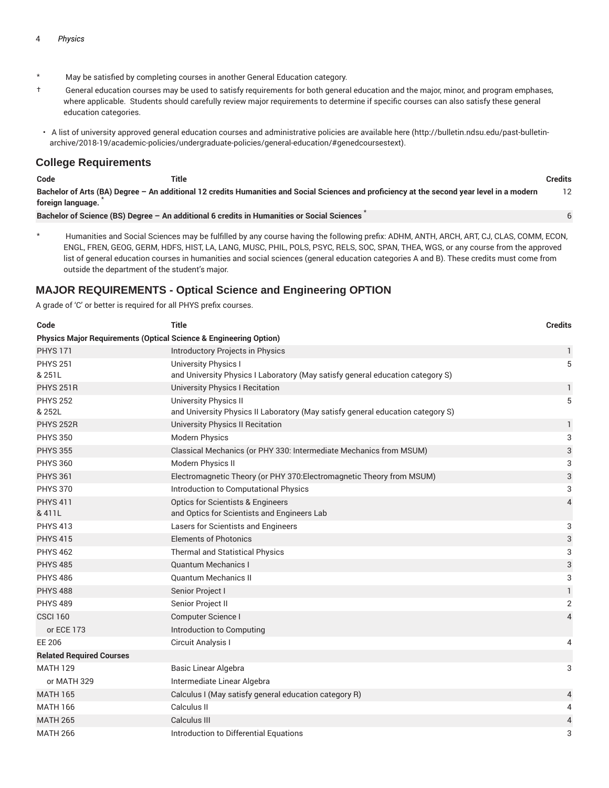- \* May be satisfied by completing courses in another General Education category.
- † General education courses may be used to satisfy requirements for both general education and the major, minor, and program emphases, where applicable. Students should carefully review major requirements to determine if specific courses can also satisfy these general education categories.
- A list of university approved general education courses and administrative policies are available here (http://bulletin.ndsu.edu/past-bulletinarchive/2018-19/academic-policies/undergraduate-policies/general-education/#genedcoursestext).

#### **College Requirements**

| Code              | Title |                                                                                                                                             | <b>Credits</b> |
|-------------------|-------|---------------------------------------------------------------------------------------------------------------------------------------------|----------------|
| foreign language. |       | Bachelor of Arts (BA) Degree - An additional 12 credits Humanities and Social Sciences and proficiency at the second year level in a modern |                |
|                   |       | Bachelor of Science (BS) Degree - An additional 6 credits in Humanities or Social Sciences                                                  |                |

Humanities and Social Sciences may be fulfilled by any course having the following prefix: ADHM, ANTH, ARCH, ART, CJ, CLAS, COMM, ECON, ENGL, FREN, GEOG, GERM, HDFS, HIST, LA, LANG, MUSC, PHIL, POLS, PSYC, RELS, SOC, SPAN, THEA, WGS, or any course from the approved list of general education courses in humanities and social sciences (general education categories A and B). These credits must come from outside the department of the student's major.

#### **MAJOR REQUIREMENTS - Optical Science and Engineering OPTION**

A grade of 'C' or better is required for all PHYS prefix courses.

| Code                                                                         | <b>Title</b>                                                                                             | <b>Credits</b> |
|------------------------------------------------------------------------------|----------------------------------------------------------------------------------------------------------|----------------|
| <b>Physics Major Requirements (Optical Science &amp; Engineering Option)</b> |                                                                                                          |                |
| <b>PHYS 171</b>                                                              | <b>Introductory Projects in Physics</b>                                                                  | 1              |
| <b>PHYS 251</b>                                                              | University Physics I                                                                                     | 5              |
| & 251L                                                                       | and University Physics I Laboratory (May satisfy general education category S)                           |                |
| <b>PHYS 251R</b>                                                             | University Physics I Recitation                                                                          | $\mathbf{1}$   |
| <b>PHYS 252</b><br>& 252L                                                    | University Physics II<br>and University Physics II Laboratory (May satisfy general education category S) | 5              |
| <b>PHYS 252R</b>                                                             | University Physics II Recitation                                                                         | $\mathbf{1}$   |
| <b>PHYS 350</b>                                                              | <b>Modern Physics</b>                                                                                    | 3              |
| <b>PHYS 355</b>                                                              | Classical Mechanics (or PHY 330: Intermediate Mechanics from MSUM)                                       | 3              |
| <b>PHYS 360</b>                                                              | Modern Physics II                                                                                        | 3              |
| <b>PHYS 361</b>                                                              | Electromagnetic Theory (or PHY 370: Electromagnetic Theory from MSUM)                                    | 3              |
| <b>PHYS 370</b>                                                              | Introduction to Computational Physics                                                                    | 3              |
| <b>PHYS 411</b><br>& 411L                                                    | <b>Optics for Scientists &amp; Engineers</b><br>and Optics for Scientists and Engineers Lab              | $\overline{4}$ |
| <b>PHYS 413</b>                                                              | Lasers for Scientists and Engineers                                                                      | 3              |
| <b>PHYS 415</b>                                                              | <b>Elements of Photonics</b>                                                                             | 3              |
| <b>PHYS 462</b>                                                              | Thermal and Statistical Physics                                                                          | 3              |
| <b>PHYS 485</b>                                                              | <b>Quantum Mechanics I</b>                                                                               | 3              |
| <b>PHYS 486</b>                                                              | <b>Quantum Mechanics II</b>                                                                              | 3              |
| <b>PHYS 488</b>                                                              | Senior Project I                                                                                         | $\mathbf{1}$   |
| <b>PHYS 489</b>                                                              | Senior Project II                                                                                        | 2              |
| <b>CSCI 160</b>                                                              | Computer Science I                                                                                       | $\overline{4}$ |
| or ECE 173                                                                   | Introduction to Computing                                                                                |                |
| <b>EE 206</b>                                                                | Circuit Analysis I                                                                                       | 4              |
| <b>Related Required Courses</b>                                              |                                                                                                          |                |
| <b>MATH 129</b>                                                              | Basic Linear Algebra                                                                                     | 3              |
| or MATH 329                                                                  | Intermediate Linear Algebra                                                                              |                |
| <b>MATH 165</b>                                                              | Calculus I (May satisfy general education category R)                                                    | 4              |
| <b>MATH 166</b>                                                              | Calculus II                                                                                              | 4              |
| <b>MATH 265</b>                                                              | Calculus III                                                                                             | 4              |
| <b>MATH 266</b>                                                              | Introduction to Differential Equations                                                                   | 3              |